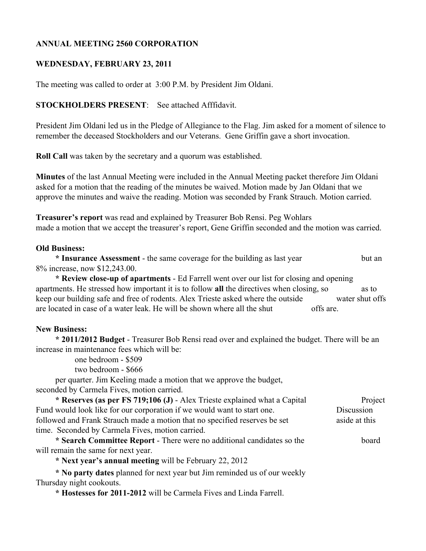# **ANNUAL MEETING 2560 CORPORATION**

## **WEDNESDAY, FEBRUARY 23, 2011**

The meeting was called to order at 3:00 P.M. by President Jim Oldani.

### **STOCKHOLDERS PRESENT**: See attached Afffidavit.

President Jim Oldani led us in the Pledge of Allegiance to the Flag. Jim asked for a moment of silence to remember the deceased Stockholders and our Veterans. Gene Griffin gave a short invocation.

**Roll Call** was taken by the secretary and a quorum was established.

**Minutes** of the last Annual Meeting were included in the Annual Meeting packet therefore Jim Oldani asked for a motion that the reading of the minutes be waived. Motion made by Jan Oldani that we approve the minutes and waive the reading. Motion was seconded by Frank Strauch. Motion carried.

**Treasurer's report** was read and explained by Treasurer Bob Rensi. Peg Wohlars made a motion that we accept the treasurer's report, Gene Griffin seconded and the motion was carried.

#### **Old Business:**

**\* Insurance Assessment** - the same coverage for the building as last year but an 8% increase, now \$12,243.00.

**\* Review close-up of apartments** - Ed Farrell went over our list for closing and opening apartments. He stressed how important it is to follow all the directives when closing, so as to keep our building safe and free of rodents. Alex Trieste asked where the outside water shut offs are located in case of a water leak. He will be shown where all the shut offs are.

### **New Business:**

**\* 2011/2012 Budget** - Treasurer Bob Rensi read over and explained the budget. There will be an increase in maintenance fees which will be:

one bedroom - \$509

two bedroom - \$666

per quarter. Jim Keeling made a motion that we approve the budget, seconded by Carmela Fives, motion carried.

\* **Reserves (as per FS 719;106 (J)** - Alex Trieste explained what a Capital Project Fund would look like for our corporation if we would want to start one. Discussion followed and Frank Strauch made a motion that no specified reserves be set aside at this time. Seconded by Carmela Fives, motion carried.

**\* Search Committee Report** - There were no additional candidates so the board will remain the same for next year.

**\* Next year's annual meeting** will be February 22, 2012

**\* No party dates** planned for next year but Jim reminded us of our weekly Thursday night cookouts.

**\* Hostesses for 2011-2012** will be Carmela Fives and Linda Farrell.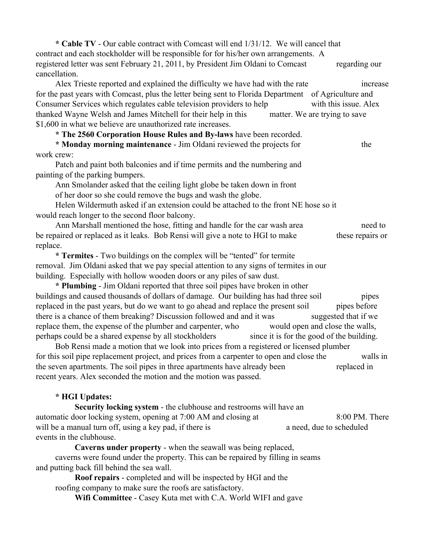**\* Cable TV** - Our cable contract with Comcast will end 1/31/12. We will cancel that contract and each stockholder will be responsible for for his/her own arrangements. A registered letter was sent February 21, 2011, by President Jim Oldani to Comcast regarding our cancellation.

Alex Trieste reported and explained the difficulty we have had with the rate increase for the past years with Comcast, plus the letter being sent to Florida Department of Agriculture and Consumer Services which regulates cable television providers to help with this issue. Alex thanked Wayne Welsh and James Mitchell for their help in this matter. We are trying to save \$1,600 in what we believe are unauthorized rate increases.

**\* The 2560 Corporation House Rules and By-laws** have been recorded.

**\* Monday morning maintenance** - Jim Oldani reviewed the projects for the work crew:

Patch and paint both balconies and if time permits and the numbering and painting of the parking bumpers.

Ann Smolander asked that the ceiling light globe be taken down in front of her door so she could remove the bugs and wash the globe.

Helen Wildermuth asked if an extension could be attached to the front NE hose so it would reach longer to the second floor balcony.

Ann Marshall mentioned the hose, fitting and handle for the car wash area need to be repaired or replaced as it leaks. Bob Rensi will give a note to HGI to make these repairs or replace.

**\* Termites** - Two buildings on the complex will be "tented" for termite removal. Jim Oldani asked that we pay special attention to any signs of termites in our building. Especially with hollow wooden doors or any piles of saw dust.

**\* Plumbing** - Jim Oldani reported that three soil pipes have broken in other buildings and caused thousands of dollars of damage. Our building has had three soil pipes replaced in the past years, but do we want to go ahead and replace the present soil pipes before there is a chance of them breaking? Discussion followed and and it was suggested that if we replace them, the expense of the plumber and carpenter, who would open and close the walls, perhaps could be a shared expense by all stockholders since it is for the good of the building.

Bob Rensi made a motion that we look into prices from a registered or licensed plumber for this soil pipe replacement project, and prices from a carpenter to open and close the walls in the seven apartments. The soil pipes in three apartments have already been replaced in recent years. Alex seconded the motion and the motion was passed.

## **\* HGI Updates:**

**Security locking system** - the clubhouse and restrooms will have an automatic door locking system, opening at 7:00 AM and closing at 8:00 PM. There will be a manual turn off, using a key pad, if there is a need, due to scheduled events in the clubhouse.

**Caverns under property** - when the seawall was being replaced, caverns were found under the property. This can be repaired by filling in seams and putting back fill behind the sea wall.

**Roof repairs** - completed and will be inspected by HGI and the roofing company to make sure the roofs are satisfactory.

**Wifi Committee** - Casey Kuta met with C.A. World WIFI and gave